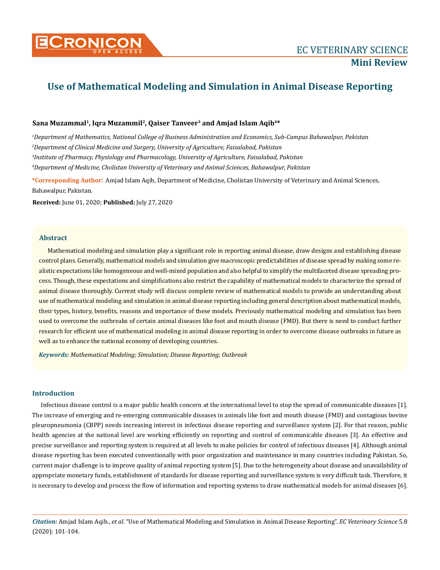

# **Use of Mathematical Modeling and Simulation in Animal Disease Reporting**

# Sana Muzammal<sup>1</sup>, Iqra Muzammil<sup>2</sup>, Qaiser Tanveer<sup>3</sup> and Amjad Islam Aqib<sup>4\*</sup>

 *Department of Mathematics, National College of Business Administration and Economics, Sub-Campus Bahawalpur, Pakistan Department of Clinical Medicine and Surgery, University of Agriculture, Faisalabad, Pakistan Institute of Pharmacy, Physiology and Pharmacology, University of Agriculture, Faisalabad, Pakistan Department of Medicine, Cholistan University of Veterinary and Animal Sciences, Bahawalpur, Pakistan*

**\*Corresponding Author**: Amjad Islam Aqib, Department of Medicine, Cholistan University of Veterinary and Animal Sciences, Bahawalpur, Pakistan.

**Received:** June 01, 2020; **Published:** July 27, 2020

### **Abstract**

Mathematical modeling and simulation play a significant role in reporting animal disease, draw designs and establishing disease control plans. Generally, mathematical models and simulation give macroscopic predictabilities of disease spread by making some realistic expectations like homogeneous and well-mixed population and also helpful to simplify the multifaceted disease spreading process. Though, these expectations and simplifications also restrict the capability of mathematical models to characterize the spread of animal disease thoroughly. Current study will discuss complete review of mathematical models to provide an understanding about use of mathematical modeling and simulation in animal disease reporting including general description about mathematical models, their types, history, benefits, reasons and importance of these models. Previously mathematical modeling and simulation has been used to overcome the outbreaks of certain animal diseases like foot and mouth disease (FMD). But there is need to conduct further research for efficient use of mathematical modeling in animal disease reporting in order to overcome disease outbreaks in future as well as to enhance the national economy of developing countries.

*Keywords: Mathematical Modeling; Simulation; Disease Reporting; Outbreak*

# **Introduction**

Infectious disease control is a major public health concern at the international level to stop the spread of communicable diseases [1]. The increase of emerging and re-emerging communicable diseases in animals like foot and mouth disease (FMD) and contagious bovine pleuropneumonia (CBPP) needs increasing interest in infectious disease reporting and surveillance system [2]. For that reason, public health agencies at the national level are working efficiently on reporting and control of communicable diseases [3]. An effective and precise surveillance and reporting system is required at all levels to make policies for control of infectious diseases [4]. Although animal disease reporting has been executed conventionally with poor organization and maintenance in many countries including Pakistan. So, current major challenge is to improve quality of animal reporting system [5]. Due to the heterogeneity about disease and unavailability of appropriate monetary funds, establishment of standards for disease reporting and surveillance system is very difficult task. Therefore, it is necessary to develop and process the flow of information and reporting systems to draw mathematical models for animal diseases [6].

*Citation:* Amjad Islam Aqib., *et al*. "Use of Mathematical Modeling and Simulation in Animal Disease Reporting". *EC Veterinary Science* 5.8 (2020): 101-104.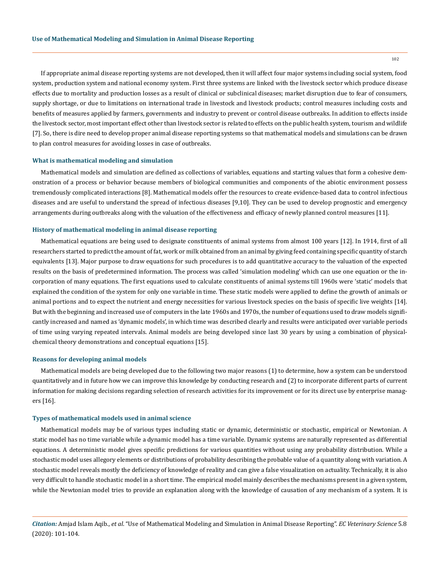If appropriate animal disease reporting systems are not developed, then it will affect four major systems including social system, food system, production system and national economy system. First three systems are linked with the livestock sector which produce disease effects due to mortality and production losses as a result of clinical or subclinical diseases; market disruption due to fear of consumers, supply shortage, or due to limitations on international trade in livestock and livestock products; control measures including costs and benefits of measures applied by farmers, governments and industry to prevent or control disease outbreaks. In addition to effects inside the livestock sector, most important effect other than livestock sector is related to effects on the public health system, tourism and wildlife [7]. So, there is dire need to develop proper animal disease reporting systems so that mathematical models and simulations can be drawn to plan control measures for avoiding losses in case of outbreaks.

#### **What is mathematical modeling and simulation**

Mathematical models and simulation are defined as collections of variables, equations and starting values that form a cohesive demonstration of a process or behavior because members of biological communities and components of the abiotic environment possess tremendously complicated interactions [8]. Mathematical models offer the resources to create evidence-based data to control infectious diseases and are useful to understand the spread of infectious diseases [9,10]. They can be used to develop prognostic and emergency arrangements during outbreaks along with the valuation of the effectiveness and efficacy of newly planned control measures [11].

#### **History of mathematical modeling in animal disease reporting**

Mathematical equations are being used to designate constituents of animal systems from almost 100 years [12]. In 1914, first of all researchers started to predict the amount of fat, work or milk obtained from an animal by giving feed containing specific quantity of starch equivalents [13]. Major purpose to draw equations for such procedures is to add quantitative accuracy to the valuation of the expected results on the basis of predetermined information. The process was called 'simulation modeling' which can use one equation or the incorporation of many equations. The first equations used to calculate constituents of animal systems till 1960s were 'static' models that explained the condition of the system for only one variable in time. These static models were applied to define the growth of animals or animal portions and to expect the nutrient and energy necessities for various livestock species on the basis of specific live weights [14]. But with the beginning and increased use of computers in the late 1960s and 1970s, the number of equations used to draw models significantly increased and named as 'dynamic models', in which time was described clearly and results were anticipated over variable periods of time using varying repeated intervals. Animal models are being developed since last 30 years by using a combination of physicalchemical theory demonstrations and conceptual equations [15].

#### **Reasons for developing animal models**

Mathematical models are being developed due to the following two major reasons (1) to determine, how a system can be understood quantitatively and in future how we can improve this knowledge by conducting research and (2) to incorporate different parts of current information for making decisions regarding selection of research activities for its improvement or for its direct use by enterprise managers [16].

#### **Types of mathematical models used in animal science**

Mathematical models may be of various types including static or dynamic, deterministic or stochastic, empirical or Newtonian. A static model has no time variable while a dynamic model has a time variable. Dynamic systems are naturally represented as differential equations. A deterministic model gives specific predictions for various quantities without using any probability distribution. While a stochastic model uses allegory elements or distributions of probability describing the probable value of a quantity along with variation. A stochastic model reveals mostly the deficiency of knowledge of reality and can give a false visualization on actuality. Technically, it is also very difficult to handle stochastic model in a short time. The empirical model mainly describes the mechanisms present in a given system, while the Newtonian model tries to provide an explanation along with the knowledge of causation of any mechanism of a system. It is

*Citation:* Amjad Islam Aqib., *et al*. "Use of Mathematical Modeling and Simulation in Animal Disease Reporting". *EC Veterinary Science* 5.8 (2020): 101-104.

102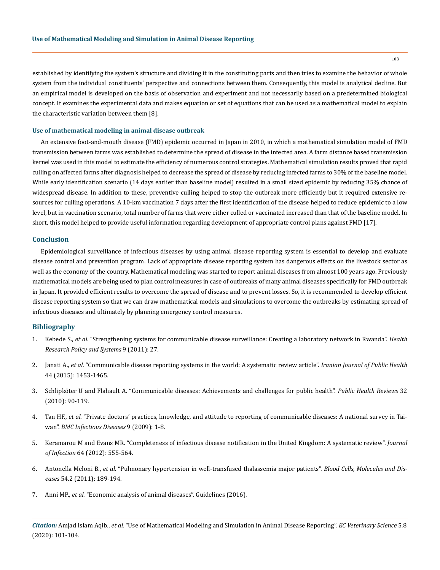established by identifying the system's structure and dividing it in the constituting parts and then tries to examine the behavior of whole system from the individual constituents' perspective and connections between them. Consequently, this model is analytical decline. But an empirical model is developed on the basis of observation and experiment and not necessarily based on a predetermined biological concept. It examines the experimental data and makes equation or set of equations that can be used as a mathematical model to explain the characteristic variation between them [8].

#### **Use of mathematical modeling in animal disease outbreak**

An extensive foot-and-mouth disease (FMD) epidemic occurred in Japan in 2010, in which a mathematical simulation model of FMD transmission between farms was established to determine the spread of disease in the infected area. A farm distance based transmission kernel was used in this model to estimate the efficiency of numerous control strategies. Mathematical simulation results proved that rapid culling on affected farms after diagnosis helped to decrease the spread of disease by reducing infected farms to 30% of the baseline model. While early identification scenario (14 days earlier than baseline model) resulted in a small sized epidemic by reducing 35% chance of widespread disease. In addition to these, preventive culling helped to stop the outbreak more efficiently but it required extensive resources for culling operations. A 10-km vaccination 7 days after the first identification of the disease helped to reduce epidemic to a low level, but in vaccination scenario, total number of farms that were either culled or vaccinated increased than that of the baseline model. In short, this model helped to provide useful information regarding development of appropriate control plans against FMD [17].

## **Conclusion**

Epidemiological surveillance of infectious diseases by using animal disease reporting system is essential to develop and evaluate disease control and prevention program. Lack of appropriate disease reporting system has dangerous effects on the livestock sector as well as the economy of the country. Mathematical modeling was started to report animal diseases from almost 100 years ago. Previously mathematical models are being used to plan control measures in case of outbreaks of many animal diseases specifically for FMD outbreak in Japan. It provided efficient results to overcome the spread of disease and to prevent losses. So, it is recommended to develop efficient disease reporting system so that we can draw mathematical models and simulations to overcome the outbreaks by estimating spread of infectious diseases and ultimately by planning emergency control measures.

# **Bibliography**

- 1. Kebede S., *et al*[. "Strengthening systems for communicable disease surveillance: Creating a laboratory network in Rwanda".](https://www.ncbi.nlm.nih.gov/pmc/articles/PMC3142247/) *Health [Research Policy and Systems](https://www.ncbi.nlm.nih.gov/pmc/articles/PMC3142247/)* 9 (2011): 27.
- 2. Janati A., *et al*[. "Communicable disease reporting systems in the world: A systematic review article".](https://www.ncbi.nlm.nih.gov/pmc/articles/PMC4703224/) *Iranian Journal of Public Health* [44 \(2015\): 1453-1465.](https://www.ncbi.nlm.nih.gov/pmc/articles/PMC4703224/)
- 3. [Schlipköter U and Flahault A. "Communicable diseases: Achievements and challenges for public health".](https://publichealthreviews.biomedcentral.com/articles/10.1007/BF03391594) *Public Health Reviews* 32 [\(2010\): 90-119.](https://publichealthreviews.biomedcentral.com/articles/10.1007/BF03391594)
- 4. Tan HF., *et al*[. "Private doctors' practices, knowledge, and attitude to reporting of communicable diseases: A national survey in Tai](https://pubmed.ncbi.nlm.nih.gov/19178741/)wan". *[BMC Infectious Diseases](https://pubmed.ncbi.nlm.nih.gov/19178741/)* 9 (2009): 1-8.
- 5. [Keramarou M and Evans MR. "Completeness of infectious disease notification in the United Kingdom: A systematic review".](https://pubmed.ncbi.nlm.nih.gov/22414684/) *Journal of Infection* [64 \(2012\): 555-564.](https://pubmed.ncbi.nlm.nih.gov/22414684/)
- 6. Antonella Meloni B., *et al*[. "Pulmonary hypertension in well-transfused thalassemia major patients".](http://www.iwgthalassemia.it/Bibliography/Pulmonary_Hypertension_In_Well_Transfused_Thalassemia_Major_Patients_Antonella_Melonia_et_Al.pdf) *Blood Cells, Molecules and Diseases* [54.2 \(2011\): 189-194.](http://www.iwgthalassemia.it/Bibliography/Pulmonary_Hypertension_In_Well_Transfused_Thalassemia_Major_Patients_Antonella_Melonia_et_Al.pdf)
- 7. Anni MP., *et al*[. "Economic analysis of animal diseases". Guidelines \(2016\).](http://www.fao.org/3/a-i5512e.pdf)

*Citation:* Amjad Islam Aqib., *et al*. "Use of Mathematical Modeling and Simulation in Animal Disease Reporting". *EC Veterinary Science* 5.8 (2020): 101-104.

103